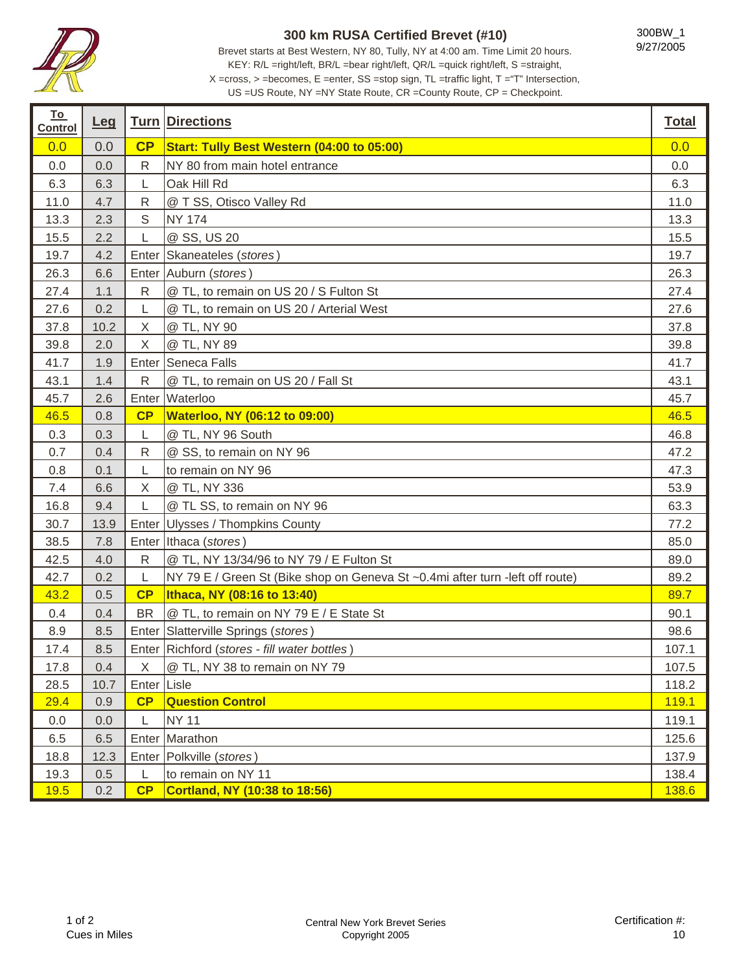

**To** 

T

## **300 km RUSA Certified Brevet (#10)**

Brevet starts at Best Western, NY 80, Tully, NY at 4:00 am. Time Limit 20 hours. KEY: R/L =right/left, BR/L =bear right/left, QR/L =quick right/left, S =straight, X =cross, > =becomes, E =enter, SS =stop sign, TL =traffic light, T ="T" Intersection,

US =US Route, NY =NY State Route, CR =County Route, CP = Checkpoint.

| <u>___</u><br><b>Control</b> | <u>Leq</u> |              | <b>Turn Directions</b>                                                        | <b>Total</b> |
|------------------------------|------------|--------------|-------------------------------------------------------------------------------|--------------|
| 0.0                          | 0.0        | CP           | Start: Tully Best Western (04:00 to 05:00)                                    | 0.0          |
| 0.0                          | 0.0        | $\mathsf{R}$ | NY 80 from main hotel entrance                                                | 0.0          |
| 6.3                          | 6.3        | L            | Oak Hill Rd                                                                   | 6.3          |
| 11.0                         | 4.7        | $\mathsf{R}$ | @ T SS, Otisco Valley Rd                                                      | 11.0         |
| 13.3                         | 2.3        | $\mathbb S$  | <b>NY 174</b>                                                                 | 13.3         |
| 15.5                         | 2.2        | L            | @ SS, US 20                                                                   | 15.5         |
| 19.7                         | 4.2        |              | Enter Skaneateles (stores)                                                    | 19.7         |
| 26.3                         | 6.6        |              | Enter Auburn (stores)                                                         | 26.3         |
| 27.4                         | 1.1        | $\mathsf{R}$ | @ TL, to remain on US 20 / S Fulton St                                        | 27.4         |
| 27.6                         | 0.2        | L            | @ TL, to remain on US 20 / Arterial West                                      | 27.6         |
| 37.8                         | 10.2       | X            | @ TL, NY 90                                                                   | 37.8         |
| 39.8                         | 2.0        | $\mathsf X$  | @ TL, NY 89                                                                   | 39.8         |
| 41.7                         | 1.9        |              | Enter Seneca Falls                                                            | 41.7         |
| 43.1                         | 1.4        | ${\sf R}$    | @ TL, to remain on US 20 / Fall St                                            | 43.1         |
| 45.7                         | 2.6        |              | Enter Waterloo                                                                | 45.7         |
| 46.5                         | 0.8        | CP           | <b>Waterloo, NY (06:12 to 09:00)</b>                                          | 46.5         |
| 0.3                          | 0.3        | L            | @ TL, NY 96 South                                                             | 46.8         |
| 0.7                          | 0.4        | $\mathsf{R}$ | @ SS, to remain on NY 96                                                      | 47.2         |
| 0.8                          | 0.1        | L            | to remain on NY 96                                                            | 47.3         |
| 7.4                          | 6.6        | X            | @ TL, NY 336                                                                  | 53.9         |
| 16.8                         | 9.4        | L            | @ TL SS, to remain on NY 96                                                   | 63.3         |
| 30.7                         | 13.9       |              | Enter Ulysses / Thompkins County                                              | 77.2         |
| 38.5                         | 7.8        |              | Enter Ithaca (stores)                                                         | 85.0         |
| 42.5                         | 4.0        | R            | @ TL, NY 13/34/96 to NY 79 / E Fulton St                                      | 89.0         |
| 42.7                         | 0.2        | L            | NY 79 E / Green St (Bike shop on Geneva St ~0.4mi after turn -left off route) | 89.2         |
| 43.2                         | 0.5        | CP           | Ithaca, NY (08:16 to 13:40)                                                   | 89.7         |
| 0.4                          | 0.4        | <b>BR</b>    | @ TL, to remain on NY 79 E / E State St                                       | 90.1         |
| 8.9                          | 8.5        |              | Enter Slatterville Springs (stores)                                           | 98.6         |
| 17.4                         | 8.5        |              | Enter Richford (stores - fill water bottles)                                  | 107.1        |
| 17.8                         | 0.4        | X            | @ TL, NY 38 to remain on NY 79                                                | 107.5        |
| 28.5                         | 10.7       | Enter Lisle  |                                                                               | 118.2        |
| 29.4                         | 0.9        | CP           | <b>Question Control</b>                                                       | 119.1        |
| 0.0                          | 0.0        | L            | <b>NY 11</b>                                                                  | 119.1        |
| 6.5                          | 6.5        |              | Enter Marathon                                                                | 125.6        |
| 18.8                         | 12.3       |              | Enter   Polkville (stores)                                                    | 137.9        |
| 19.3                         | 0.5        | L            | to remain on NY 11                                                            | 138.4        |
| 19.5                         | 0.2        | CP           | Cortland, NY (10:38 to 18:56)                                                 | 138.6        |

т